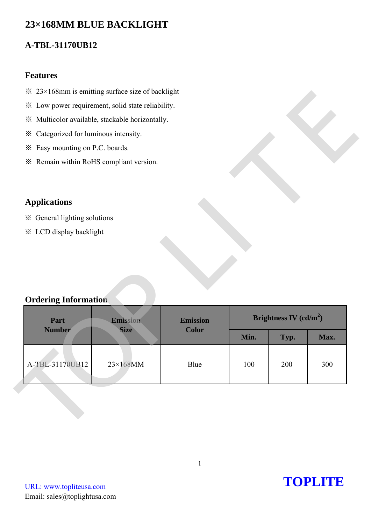# **23×168MM BLUE BACKLIGHT**

# **A-TBL-31170UB12**

### **Features**

- $\frac{32}{23}$  × 168mm is emitting surface size of backlight
- ※ Low power requirement, solid state reliability.
- ※ Multicolor available, stackable horizontally.
- ※ Categorized for luminous intensity.
- ※ Easy mounting on P.C. boards.
- ※ Remain within RoHS compliant version.

## **Applications**

- ※ General lighting solutions
- ※ LCD display backlight

## **Ordering Information**

| * Low power requirement, solid state reliability. |                             |              |                          |      |      |
|---------------------------------------------------|-----------------------------|--------------|--------------------------|------|------|
| ※ Multicolor available, stackable horizontally.   |                             |              |                          |      |      |
| * Categorized for luminous intensity.             |                             |              |                          |      |      |
| Easy mounting on P.C. boards.<br>⋇                |                             |              |                          |      |      |
| * Remain within RoHS compliant version.           |                             |              |                          |      |      |
|                                                   |                             |              |                          |      |      |
| <b>Applications</b>                               |                             |              |                          |      |      |
| ※ General lighting solutions                      |                             |              |                          |      |      |
| * LCD display backlight                           |                             |              |                          |      |      |
|                                                   |                             |              |                          |      |      |
|                                                   |                             |              |                          |      |      |
|                                                   |                             |              |                          |      |      |
|                                                   |                             |              |                          |      |      |
| <b>Ordering Information</b>                       |                             |              |                          |      |      |
| Part                                              | <b>Emission</b><br>Emission |              | Brightness IV $(cd/m^2)$ |      |      |
| <b>Number</b>                                     | <b>Size</b>                 | <b>Color</b> | Min.                     | Typ. | Max. |
|                                                   |                             |              |                          |      |      |
| A-TBL-31170UB12                                   | $23\times168$ MM            | Blue         | 100                      | 200  | 300  |
|                                                   |                             |              |                          |      |      |
|                                                   |                             |              |                          |      |      |
|                                                   |                             |              |                          |      |      |
|                                                   |                             |              |                          |      |      |
|                                                   |                             |              |                          |      |      |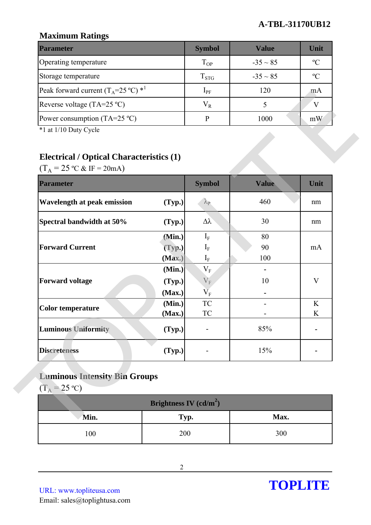### **A-TBL-31170UB12**

### **Maximum Ratings**

| <b>Parameter</b>                                        | <b>Symbol</b> | Value         | Unit          |
|---------------------------------------------------------|---------------|---------------|---------------|
| Operating temperature                                   | $T_{OP}$      | $-35 \sim 85$ | $\mathcal{O}$ |
| Storage temperature                                     | $T_{STG}$     | $-35 \sim 85$ | $\mathcal{C}$ |
| Peak forward current $(T_A=25 \degree C)$ <sup>*1</sup> | $1_{\rm PF}$  | 120           | m A           |
| Reverse voltage (TA=25 $^{\circ}$ C)                    | $\rm V_R$     |               |               |
| Power consumption (TA=25 $^{\circ}$ C)                  |               | 1000          | mW            |

## **Electrical / Optical Characteristics (1)**

| Reverse voltage (TA=25 °C)                                                                                                        |                          | $V_R$                              | 5     | $\mathbf V$ |
|-----------------------------------------------------------------------------------------------------------------------------------|--------------------------|------------------------------------|-------|-------------|
| Power consumption (TA=25 $^{\circ}$ C)                                                                                            | $\, {\bf P}$             | 1000                               | mW    |             |
| *1 at 1/10 Duty Cycle<br><b>Electrical / Optical Characteristics (1)</b><br>$(T_A = 25 \text{ °C} \& \text{ IF} = 20 \text{ mA})$ |                          |                                    |       |             |
| <b>Parameter</b>                                                                                                                  |                          | <b>Symbol</b>                      | Value | Unit        |
| Wavelength at peak emission                                                                                                       | (Typ.)                   | $\lambda_{\rm P}$                  | 460   | nm          |
| Spectral bandwidth at 50%                                                                                                         | (Typ.)                   | $\Delta \lambda$                   | 30    | nm          |
|                                                                                                                                   | (Min.)                   | $I_F$                              | 80    |             |
| <b>Forward Current</b>                                                                                                            | (Typ.)                   | $I_F$                              | 90    | mA          |
|                                                                                                                                   | (Max.)                   | $\mathbf{I}_{\rm F}$               | 100   |             |
|                                                                                                                                   | (Min.)                   | $V_{F}$                            |       |             |
| <b>Forward voltage</b>                                                                                                            | (Typ.)                   | $V_{F}$                            | 10    | V           |
|                                                                                                                                   | (Max.)                   | $\overline{\mathsf{V}}_\mathrm{F}$ |       |             |
| <b>Color temperature</b>                                                                                                          | (Min.)                   | <b>TC</b>                          |       | K           |
|                                                                                                                                   | (Max.)                   | <b>TC</b>                          |       | K           |
| <b>Luminous Uniformity</b>                                                                                                        | (Typ.)                   |                                    | 85%   |             |
| <b>Discreteness</b>                                                                                                               | (Typ.)                   |                                    | 15%   |             |
| <b>Luminous Intensity Bin Groups</b><br>$(T_A = 25 \text{ °C})$                                                                   |                          |                                    |       |             |
|                                                                                                                                   | Brightness IV $(cd/m^2)$ |                                    |       |             |
| Min.                                                                                                                              | Typ.                     |                                    | Max.  |             |
| 100                                                                                                                               | 200                      |                                    | 300   |             |

## **Luminous Intensity Bin Groups**

| Brightness IV $(cd/m^2)$ |      |      |  |  |
|--------------------------|------|------|--|--|
| Min.                     | Typ. | Max. |  |  |
| 100                      | 200  | 300  |  |  |

URL: www.topliteusa.com Email: sales@toplightusa.com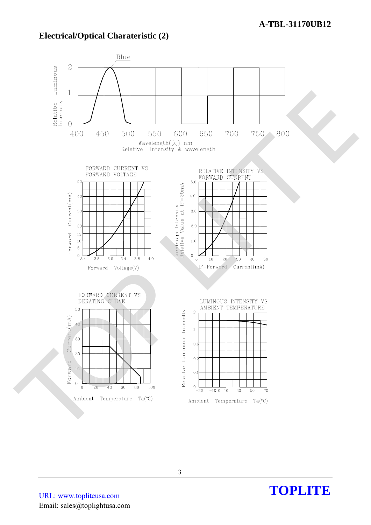### **Electrical/Optical Charateristic (2)**



URL: www.topliteusa.com Email: sales@toplightusa.com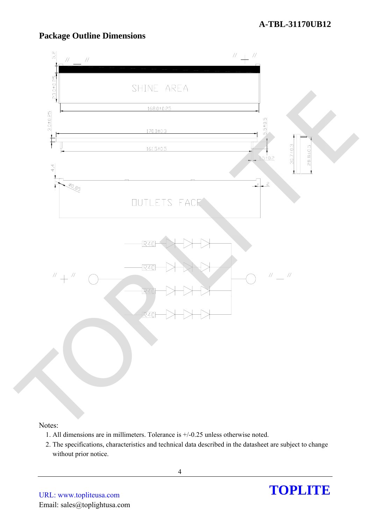

## **Package Outline Dimensions**

#### Notes:

- 1. All dimensions are in millimeters. Tolerance is +/-0.25 unless otherwise noted.
- 2. The specifications, characteristics and technical data described in the datasheet are subject to change without prior notice.